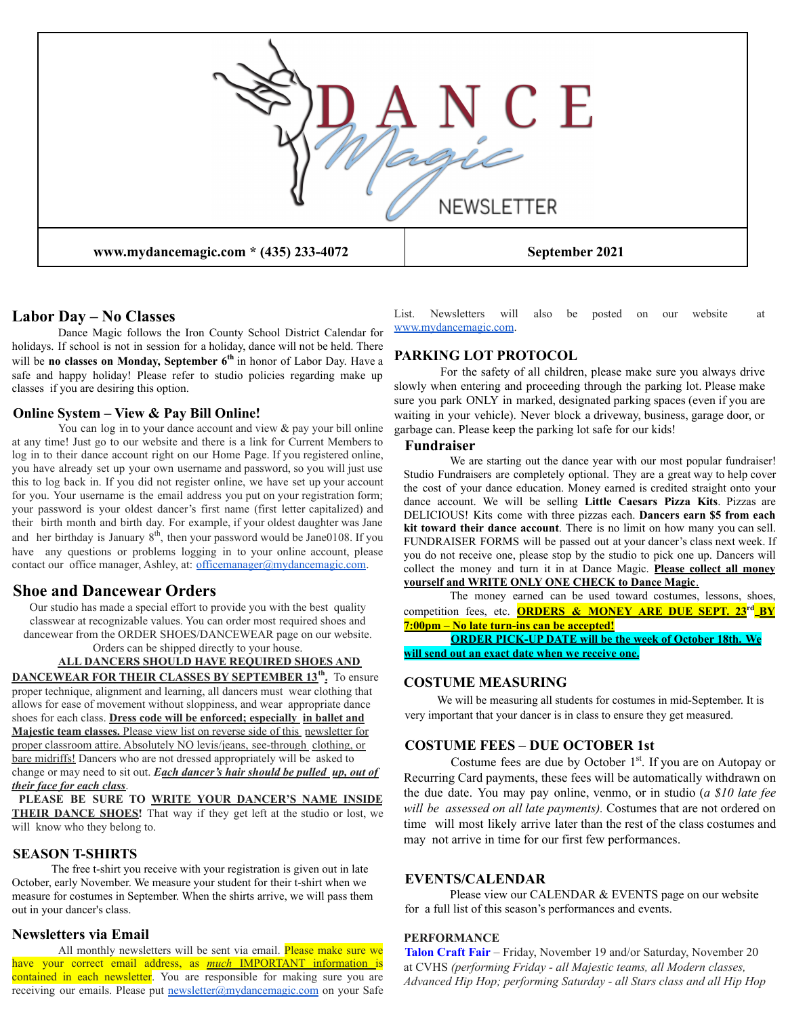

# **Labor Day – No Classes**

Dance Magic follows the Iron County School District Calendar for holidays. If school is not in session for a holiday, dance will not be held. There will be **no classes on Monday, September 6 th** in honor of Labor Day. Have a safe and happy holiday! Please refer to studio policies regarding make up classes if you are desiring this option.

#### **Online System – View & Pay Bill Online!**

You can log in to your dance account and view & pay your bill online at any time! Just go to our website and there is a link for Current Members to log in to their dance account right on our Home Page. If you registered online, you have already set up your own username and password, so you will just use this to log back in. If you did not register online, we have set up your account for you. Your username is the email address you put on your registration form; your password is your oldest dancer's first name (first letter capitalized) and their birth month and birth day. For example, if your oldest daughter was Jane and her birthday is January  $8<sup>th</sup>$ , then your password would be Jane0108. If you have any questions or problems logging in to your online account, please contact our office manager, Ashley, at: officemanager@mydancemagic.com.

## **Shoe and Dancewear Orders**

Our studio has made a special effort to provide you with the best quality classwear at recognizable values. You can order most required shoes and dancewear from the ORDER SHOES/DANCEWEAR page on our website.

Orders can be shipped directly to your house.

#### **ALL DANCERS SHOULD HAVE REQUIRED SHOES AND DANCEWEAR FOR THEIR CLASSES BY SEPTEMBER 13th .** To ensure

proper technique, alignment and learning, all dancers must wear clothing that allows for ease of movement without sloppiness, and wear appropriate dance shoes for each class. **Dress code will be enforced; especially in ballet and Majestic team classes.** Please view list on reverse side of this newsletter for proper classroom attire. Absolutely NO levis/jeans, see-through clothing, or bare midriffs! Dancers who are not dressed appropriately will be asked to change or may need to sit out. *Each dancer's hair should be pulled up, out of their face for each class*.

**PLEASE BE SURE TO WRITE YOUR DANCER'S NAME INSIDE THEIR DANCE SHOES!** That way if they get left at the studio or lost, we will know who they belong to.

# **SEASON T-SHIRTS**

The free t-shirt you receive with your registration is given out in late October, early November. We measure your student for their t-shirt when we measure for costumes in September. When the shirts arrive, we will pass them out in your dancer's class.

## **Newsletters via Email**

All monthly newsletters will be sent via email. Please make sure we have your correct email address, as *much* IMPORTANT information is contained in each newsletter. You are responsible for making sure you are receiving our emails. Please put **newsletter@mydancemagic.com** on your Safe

List. Newsletters will also be posted on our website at www.mydancemagic.com.

## **PARKING LOT PROTOCOL**

For the safety of all children, please make sure you always drive slowly when entering and proceeding through the parking lot. Please make sure you park ONLY in marked, designated parking spaces (even if you are waiting in your vehicle). Never block a driveway, business, garage door, or garbage can. Please keep the parking lot safe for our kids!

## **Fundraiser**

We are starting out the dance year with our most popular fundraiser! Studio Fundraisers are completely optional. They are a great way to help cover the cost of your dance education. Money earned is credited straight onto your dance account. We will be selling **Little Caesars Pizza Kits**. Pizzas are DELICIOUS! Kits come with three pizzas each. **Dancers earn \$5 from each kit toward their dance account**. There is no limit on how many you can sell. FUNDRAISER FORMS will be passed out at your dancer's class next week. If you do not receive one, please stop by the studio to pick one up. Dancers will collect the money and turn it in at Dance Magic. **Please collect all money yourself and WRITE ONLY ONE CHECK to Dance Magic**.

The money earned can be used toward costumes, lessons, shoes, competition fees, etc. **ORDERS & MONEY ARE DUE SEPT. 23rd BY 7:00pm – No late turn-ins can be accepted!**

**ORDER PICK-UP DATE will be the week of October 18th. We will send out an exact date when we receive one.**

## **COSTUME MEASURING**

We will be measuring all students for costumes in mid-September. It is very important that your dancer is in class to ensure they get measured.

## **COSTUME FEES – DUE OCTOBER 1st**

Costume fees are due by October  $1<sup>st</sup>$ . If you are on Autopay or Recurring Card payments, these fees will be automatically withdrawn on the due date. You may pay online, venmo, or in studio (*a \$10 late fee will be assessed on all late payments).* Costumes that are not ordered on time will most likely arrive later than the rest of the class costumes and may not arrive in time for our first few performances.

#### **EVENTS/CALENDAR**

Please view our CALENDAR & EVENTS page on our website for a full list of this season's performances and events.

#### **PERFORMANCE**

**Talon Craft Fair** – Friday, November 19 and/or Saturday, November 20 at CVHS *(performing Friday - all Majestic teams, all Modern classes, Advanced Hip Hop; performing Saturday - all Stars class and all Hip Hop*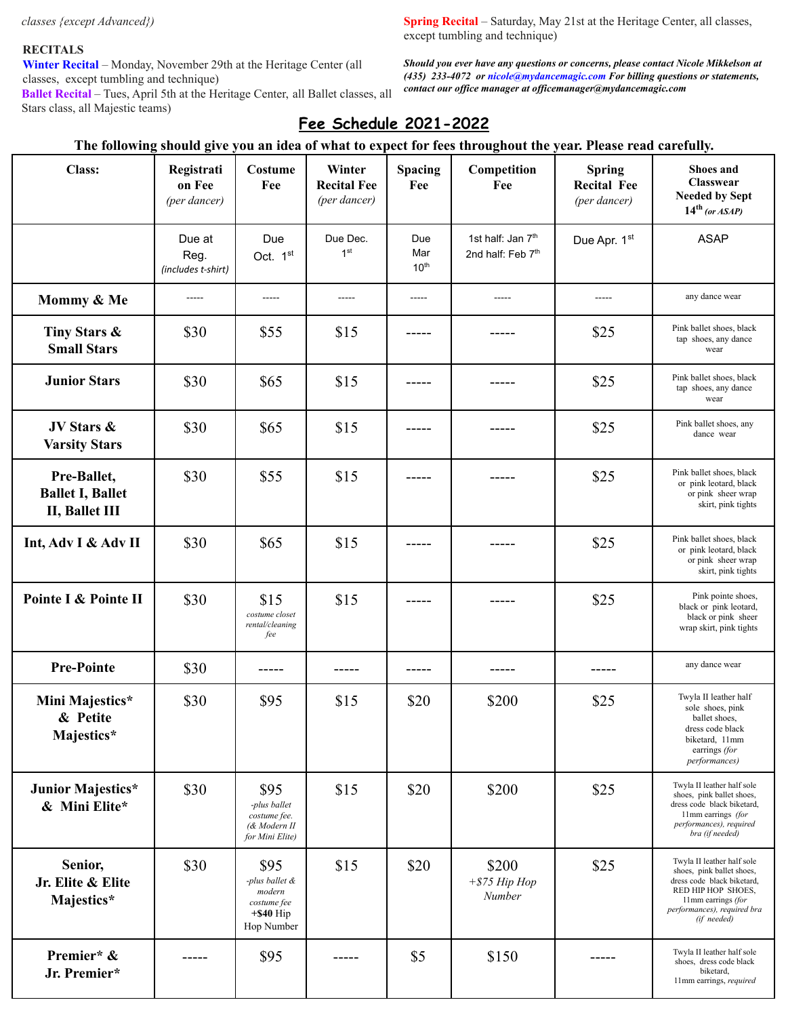*classes {except Advanced})*

## **RECITALS**

**Winter Recital** – Monday, November 29th at the Heritage Center (all classes, except tumbling and technique)

**Ballet Recital** – Tues, April 5th at the Heritage Center, all Ballet classes, all Stars class, all Majestic teams)

**Spring Recital** – Saturday, May 21st at the Heritage Center, all classes, except tumbling and technique)

*Should you ever have any questions or concerns, please contact Nicole Mikkelson at (435) 233-4072 or nicole@mydancemagic.com For billing questions or statements, contact our of ice manager at of icemanager@mydancemagic.com*

# **Fee Schedule 2021-2022**

# The following should give you an idea of what to expect for fees throughout the year. Please read carefully.

| <b>Class:</b>                                            | Registrati<br>on Fee<br>(per dancer) | Costume<br>Fee                                                                | Winter<br><b>Recital Fee</b><br>(per dancer) | Spacing<br>Fee                 | Competition<br>Fee                                             | <b>Spring</b><br><b>Recital Fee</b><br>(per dancer) | <b>Shoes and</b><br>Classwear<br><b>Needed by Sept</b><br>$14th$ (or ASAP)                                                                                                      |
|----------------------------------------------------------|--------------------------------------|-------------------------------------------------------------------------------|----------------------------------------------|--------------------------------|----------------------------------------------------------------|-----------------------------------------------------|---------------------------------------------------------------------------------------------------------------------------------------------------------------------------------|
|                                                          | Due at<br>Reg.<br>(includes t-shirt) | Due<br>Oct. 1st                                                               | Due Dec.<br>1 <sup>st</sup>                  | Due<br>Mar<br>10 <sup>th</sup> | 1st half: Jan 7 <sup>th</sup><br>2nd half: Feb 7 <sup>th</sup> | Due Apr. 1st                                        | <b>ASAP</b>                                                                                                                                                                     |
| Mommy & Me                                               | $- - - - -$                          | -----                                                                         | $- - - - -$                                  | $- - - - -$                    | $- - - - -$                                                    | $- - - - -$                                         | any dance wear                                                                                                                                                                  |
| Tiny Stars &<br><b>Small Stars</b>                       | \$30                                 | \$55                                                                          | \$15                                         | -----                          |                                                                | \$25                                                | Pink ballet shoes, black<br>tap shoes, any dance<br>wear                                                                                                                        |
| <b>Junior Stars</b>                                      | \$30                                 | \$65                                                                          | \$15                                         |                                |                                                                | \$25                                                | Pink ballet shoes, black<br>tap shoes, any dance<br>wear                                                                                                                        |
| JV Stars &<br><b>Varsity Stars</b>                       | \$30                                 | \$65                                                                          | \$15                                         |                                |                                                                | \$25                                                | Pink ballet shoes, any<br>dance wear                                                                                                                                            |
| Pre-Ballet,<br><b>Ballet I, Ballet</b><br>II, Ballet III | \$30                                 | \$55                                                                          | \$15                                         |                                |                                                                | \$25                                                | Pink ballet shoes, black<br>or pink leotard, black<br>or pink sheer wrap<br>skirt, pink tights                                                                                  |
| Int, Adv I & Adv II                                      | \$30                                 | \$65                                                                          | \$15                                         |                                |                                                                | \$25                                                | Pink ballet shoes, black<br>or pink leotard, black<br>or pink sheer wrap<br>skirt, pink tights                                                                                  |
| Pointe I & Pointe II                                     | \$30                                 | \$15<br>costume closet<br>rental/cleaning<br>fee                              | \$15                                         |                                |                                                                | \$25                                                | Pink pointe shoes,<br>black or pink leotard,<br>black or pink sheer<br>wrap skirt, pink tights                                                                                  |
| <b>Pre-Pointe</b>                                        | \$30                                 |                                                                               | -----                                        | -----                          |                                                                |                                                     | any dance wear                                                                                                                                                                  |
| Mini Majestics*<br>& Petite<br>Majestics*                | \$30                                 | \$95                                                                          | \$15                                         | \$20                           | \$200                                                          | \$25                                                | Twyla II leather half<br>sole shoes, pink<br>ballet shoes,<br>dress code black<br>biketard, 11mm<br>earrings (for<br>performances)                                              |
| Junior Majestics*<br>& Mini Elite*                       | \$30                                 | \$95<br>-plus ballet<br>costume fee.<br>(& Modern II<br>for Mini Elite)       | \$15                                         | \$20                           | \$200                                                          | \$25                                                | Twyla II leather half sole<br>shoes, pink ballet shoes,<br>dress code black biketard,<br>11mm earrings (for<br>performances), required<br>bra (if needed)                       |
| Senior,<br>Jr. Elite & Elite<br>Majestics*               | \$30                                 | \$95<br>-plus ballet &<br>modern<br>costume fee<br>$+$ \$40 Hip<br>Hop Number | \$15                                         | \$20                           | \$200<br>$+$ \$75 Hip Hop<br>Number                            | \$25                                                | Twyla II leather half sole<br>shoes, pink ballet shoes,<br>dress code black biketard,<br>RED HIP HOP SHOES,<br>11mm earrings (for<br>performances), required bra<br>(if needed) |
| Premier* &<br>Jr. Premier*                               |                                      | \$95                                                                          |                                              | \$5                            | \$150                                                          |                                                     | Twyla II leather half sole<br>shoes, dress code black<br>biketard,<br>11mm earrings, required                                                                                   |